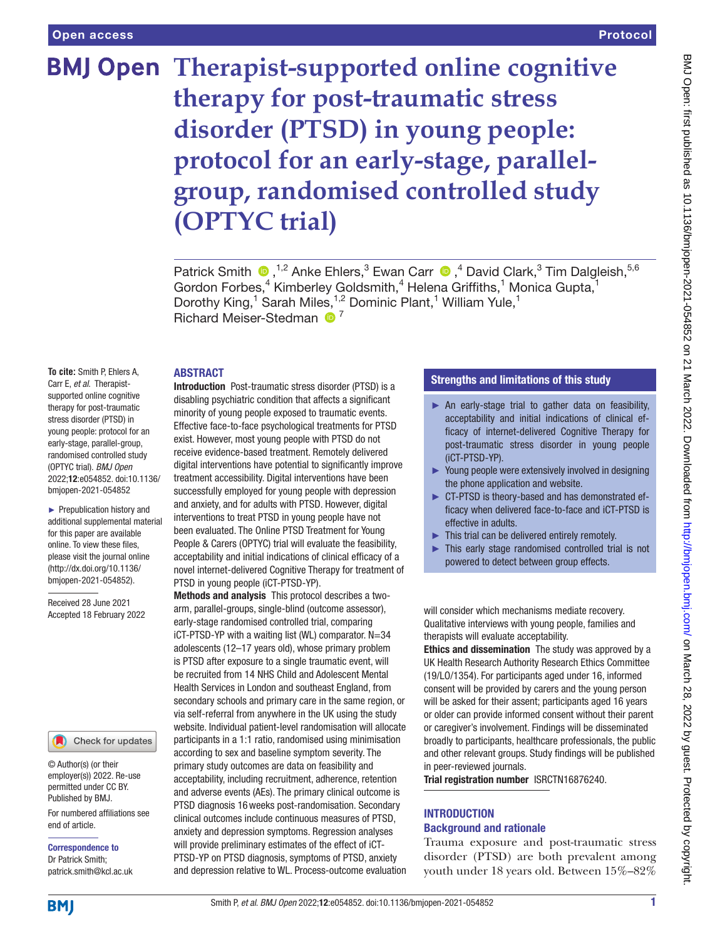# **BMJ Open Therapist-supported online cognitive therapy for post-traumatic stress disorder (PTSD) in young people: protocol for an early-stage, parallelgroup, randomised controlled study (OPTYC trial)**

PatrickSmith <sup>1,2</sup> Anke Ehlers,<sup>3</sup> Ewan Carr <sup>1</sup>,<sup>4</sup> David Clark,<sup>3</sup> Tim Dalgleish,<sup>5,6</sup> Gordon Forbes,<sup>4</sup> Kimberley Goldsmith,<sup>4</sup> Helena Griffiths,<sup>1</sup> Monica Gupta,<sup>1</sup> Dorothy King,<sup>1</sup> Sarah Miles,<sup>1,2</sup> Dominic Plant,<sup>1</sup> William Yule,<sup>1</sup> Richard Meiser-Stedman  $\bullet$ <sup>7</sup>

#### ABSTRACT

**To cite:** Smith P, Ehlers A, Carr E, *et al*. Therapistsupported online cognitive therapy for post-traumatic stress disorder (PTSD) in young people: protocol for an early-stage, parallel-group, randomised controlled study (OPTYC trial). *BMJ Open* 2022;12:e054852. doi:10.1136/ bmjopen-2021-054852

► Prepublication history and additional supplemental material for this paper are available online. To view these files, please visit the journal online [\(http://dx.doi.org/10.1136/](http://dx.doi.org/10.1136/bmjopen-2021-054852) [bmjopen-2021-054852](http://dx.doi.org/10.1136/bmjopen-2021-054852)).

Received 28 June 2021 Accepted 18 February 2022

# Check for updates

© Author(s) (or their employer(s)) 2022. Re-use permitted under CC BY. Published by BMJ.

For numbered affiliations see end of article.

Correspondence to Dr Patrick Smith; patrick.smith@kcl.ac.uk

Introduction Post-traumatic stress disorder (PTSD) is a disabling psychiatric condition that affects a significant minority of young people exposed to traumatic events. Effective face-to-face psychological treatments for PTSD exist. However, most young people with PTSD do not receive evidence-based treatment. Remotely delivered digital interventions have potential to significantly improve treatment accessibility. Digital interventions have been successfully employed for young people with depression and anxiety, and for adults with PTSD. However, digital interventions to treat PTSD in young people have not been evaluated. The Online PTSD Treatment for Young People & Carers (OPTYC) trial will evaluate the feasibility, acceptability and initial indications of clinical efficacy of a novel internet-delivered Cognitive Therapy for treatment of PTSD in young people (iCT-PTSD-YP).

Methods and analysis This protocol describes a twoarm, parallel-groups, single-blind (outcome assessor), early-stage randomised controlled trial, comparing iCT-PTSD-YP with a waiting list (WL) comparator. N=34 adolescents (12–17 years old), whose primary problem is PTSD after exposure to a single traumatic event, will be recruited from 14 NHS Child and Adolescent Mental Health Services in London and southeast England, from secondary schools and primary care in the same region, or via self-referral from anywhere in the UK using the study website. Individual patient-level randomisation will allocate participants in a 1:1 ratio, randomised using minimisation according to sex and baseline symptom severity. The primary study outcomes are data on feasibility and acceptability, including recruitment, adherence, retention and adverse events (AEs). The primary clinical outcome is PTSD diagnosis 16weeks post-randomisation. Secondary clinical outcomes include continuous measures of PTSD, anxiety and depression symptoms. Regression analyses will provide preliminary estimates of the effect of iCT-PTSD-YP on PTSD diagnosis, symptoms of PTSD, anxiety and depression relative to WL. Process-outcome evaluation

# Strengths and limitations of this study

- ► An early-stage trial to gather data on feasibility, acceptability and initial indications of clinical efficacy of internet-delivered Cognitive Therapy for post-traumatic stress disorder in young people (iCT-PTSD-YP).
- ► Young people were extensively involved in designing the phone application and website.
- ► CT-PTSD is theory-based and has demonstrated efficacy when delivered face-to-face and iCT-PTSD is effective in adults.
- $\blacktriangleright$  This trial can be delivered entirely remotely.
- This early stage randomised controlled trial is not powered to detect between group effects.

will consider which mechanisms mediate recovery. Qualitative interviews with young people, families and therapists will evaluate acceptability.

Ethics and dissemination The study was approved by a UK Health Research Authority Research Ethics Committee (19/LO/1354). For participants aged under 16, informed consent will be provided by carers and the young person will be asked for their assent; participants aged 16 years or older can provide informed consent without their parent or caregiver's involvement. Findings will be disseminated broadly to participants, healthcare professionals, the public and other relevant groups. Study findings will be published in peer-reviewed journals.

Trial registration number [ISRCTN16876240.](ISRCTN16876240)

#### INTRODUCTION Background and rationale

Trauma exposure and post-traumatic stress disorder (PTSD) are both prevalent among youth under 18 years old. Between 15%–82%

**BMI**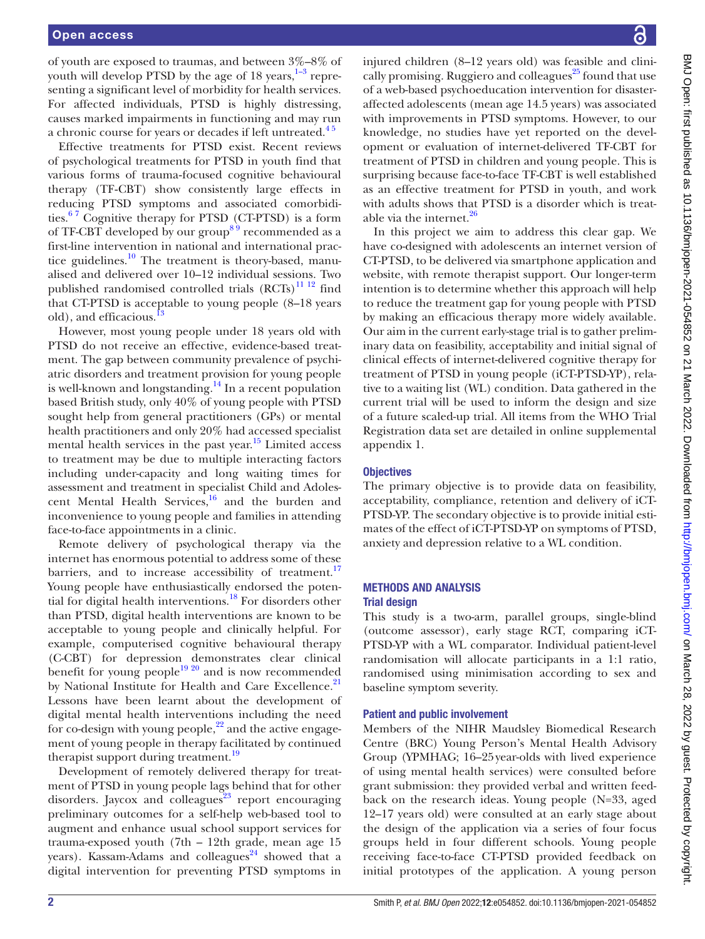of youth are exposed to traumas, and between 3%–8% of youth will develop PTSD by the age of 18 years, <sup>1-3</sup> representing a significant level of morbidity for health services. For affected individuals, PTSD is highly distressing, causes marked impairments in functioning and may run a chronic course for years or decades if left untreated.<sup>45</sup>

Effective treatments for PTSD exist. Recent reviews of psychological treatments for PTSD in youth find that various forms of trauma‐focused cognitive behavioural therapy (TF‐CBT) show consistently large effects in reducing PTSD symptoms and associated comorbidities.<sup>67</sup> Cognitive therapy for PTSD (CT-PTSD) is a form of TF-CBT developed by our group<sup>89</sup> recommended as a first-line intervention in national and international practice guidelines. $10$  The treatment is theory-based, manualised and delivered over 10–12 individual sessions. Two published randomised controlled trials  $(RCTs)^{11}$  12 find that CT-PTSD is acceptable to young people (8–18 years old), and efficacious.<sup>[13](#page-8-6)</sup>

However, most young people under 18 years old with PTSD do not receive an effective, evidence-based treatment. The gap between community prevalence of psychiatric disorders and treatment provision for young people is well-known and longstanding. $14$  In a recent population based British study, only 40% of young people with PTSD sought help from general practitioners (GPs) or mental health practitioners and only 20% had accessed specialist mental health services in the past year.<sup>15</sup> Limited access to treatment may be due to multiple interacting factors including under-capacity and long waiting times for assessment and treatment in specialist Child and Adolescent Mental Health Services, $16$  and the burden and inconvenience to young people and families in attending face-to-face appointments in a clinic.

Remote delivery of psychological therapy via the internet has enormous potential to address some of these barriers, and to increase accessibility of treatment.<sup>[17](#page-8-10)</sup> Young people have enthusiastically endorsed the potential for digital health interventions.[18](#page-9-0) For disorders other than PTSD, digital health interventions are known to be acceptable to young people and clinically helpful. For example, computerised cognitive behavioural therapy (C-CBT) for depression demonstrates clear clinical benefit for young people<sup>[19 20](#page-9-1)</sup> and is now recommended by National Institute for Health and Care Excellence.<sup>[21](#page-9-2)</sup> Lessons have been learnt about the development of digital mental health interventions including the need for co-design with young people, $^{22}$  and the active engagement of young people in therapy facilitated by continued therapist support during treatment.<sup>[19](#page-9-1)</sup>

Development of remotely delivered therapy for treatment of PTSD in young people lags behind that for other disorders. Jaycox and colleagues $^{23}$  report encouraging preliminary outcomes for a self-help web-based tool to augment and enhance usual school support services for trauma-exposed youth (7th – 12th grade, mean age 15 years). Kassam-Adams and colleagues<sup>24</sup> showed that a digital intervention for preventing PTSD symptoms in

injured children (8–12 years old) was feasible and clinically promising. Ruggiero and colleagues $^{25}$  $^{25}$  $^{25}$  found that use of a web-based psychoeducation intervention for disasteraffected adolescents (mean age 14.5 years) was associated with improvements in PTSD symptoms. However, to our knowledge, no studies have yet reported on the development or evaluation of internet-delivered TF-CBT for treatment of PTSD in children and young people. This is surprising because face-to-face TF-CBT is well established as an effective treatment for PTSD in youth, and work with adults shows that PTSD is a disorder which is treat-able via the internet.<sup>[26](#page-9-7)</sup>

In this project we aim to address this clear gap. We have co-designed with adolescents an internet version of CT-PTSD, to be delivered via smartphone application and website, with remote therapist support. Our longer-term intention is to determine whether this approach will help to reduce the treatment gap for young people with PTSD by making an efficacious therapy more widely available. Our aim in the current early-stage trial is to gather preliminary data on feasibility, acceptability and initial signal of clinical effects of internet-delivered cognitive therapy for treatment of PTSD in young people (iCT-PTSD-YP), relative to a waiting list (WL) condition. Data gathered in the current trial will be used to inform the design and size of a future scaled-up trial. All items from the WHO Trial Registration data set are detailed in [online supplemental](https://dx.doi.org/10.1136/bmjopen-2021-054852)  [appendix 1.](https://dx.doi.org/10.1136/bmjopen-2021-054852)

# **Objectives**

The primary objective is to provide data on feasibility, acceptability, compliance, retention and delivery of iCT-PTSD-YP. The secondary objective is to provide initial estimates of the effect of iCT-PTSD-YP on symptoms of PTSD, anxiety and depression relative to a WL condition.

# METHODS AND ANALYSIS

#### Trial design

This study is a two-arm, parallel groups, single-blind (outcome assessor), early stage RCT, comparing iCT-PTSD-YP with a WL comparator. Individual patient-level randomisation will allocate participants in a 1:1 ratio, randomised using minimisation according to sex and baseline symptom severity.

# Patient and public involvement

Members of the NIHR Maudsley Biomedical Research Centre (BRC) Young Person's Mental Health Advisory Group (YPMHAG; 16–25year-olds with lived experience of using mental health services) were consulted before grant submission: they provided verbal and written feedback on the research ideas. Young people (N=33, aged 12–17 years old) were consulted at an early stage about the design of the application via a series of four focus groups held in four different schools. Young people receiving face-to-face CT-PTSD provided feedback on initial prototypes of the application. A young person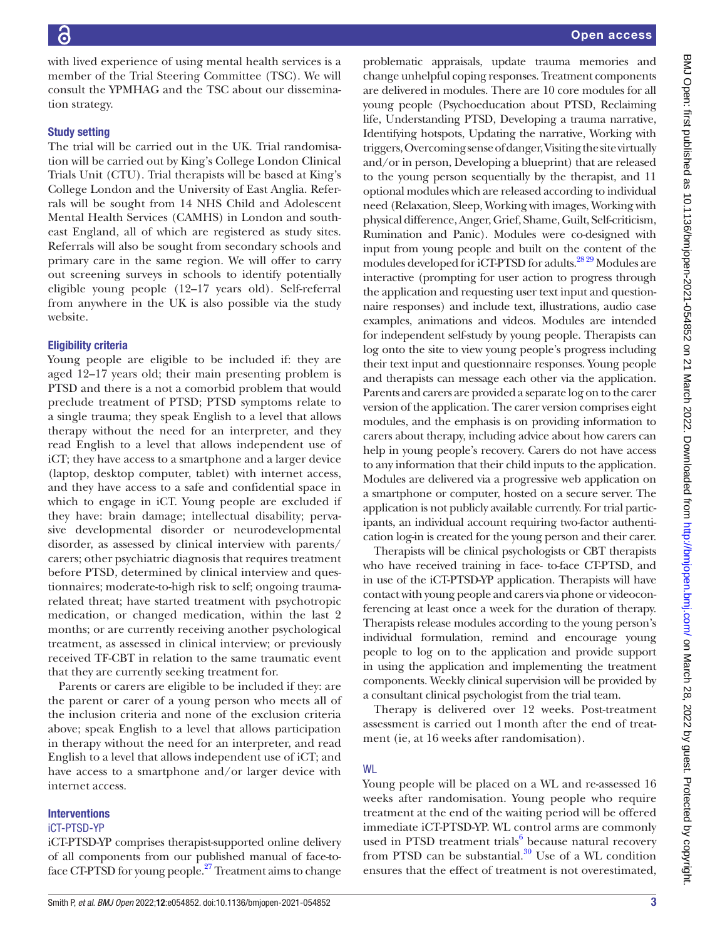with lived experience of using mental health services is a member of the Trial Steering Committee (TSC). We will consult the YPMHAG and the TSC about our dissemination strategy.

#### Study setting

The trial will be carried out in the UK. Trial randomisation will be carried out by King's College London Clinical Trials Unit (CTU). Trial therapists will be based at King's College London and the University of East Anglia. Referrals will be sought from 14 NHS Child and Adolescent Mental Health Services (CAMHS) in London and southeast England, all of which are registered as study sites. Referrals will also be sought from secondary schools and primary care in the same region. We will offer to carry out screening surveys in schools to identify potentially eligible young people (12–17 years old). Self-referral from anywhere in the UK is also possible via the study website.

#### Eligibility criteria

Young people are eligible to be included if: they are aged 12–17 years old; their main presenting problem is PTSD and there is a not a comorbid problem that would preclude treatment of PTSD; PTSD symptoms relate to a single trauma; they speak English to a level that allows therapy without the need for an interpreter, and they read English to a level that allows independent use of iCT; they have access to a smartphone and a larger device (laptop, desktop computer, tablet) with internet access, and they have access to a safe and confidential space in which to engage in iCT. Young people are excluded if they have: brain damage; intellectual disability; pervasive developmental disorder or neurodevelopmental disorder, as assessed by clinical interview with parents/ carers; other psychiatric diagnosis that requires treatment before PTSD, determined by clinical interview and questionnaires; moderate-to-high risk to self; ongoing traumarelated threat; have started treatment with psychotropic medication, or changed medication, within the last 2 months; or are currently receiving another psychological treatment, as assessed in clinical interview; or previously received TF-CBT in relation to the same traumatic event that they are currently seeking treatment for.

Parents or carers are eligible to be included if they: are the parent or carer of a young person who meets all of the inclusion criteria and none of the exclusion criteria above; speak English to a level that allows participation in therapy without the need for an interpreter, and read English to a level that allows independent use of iCT; and have access to a smartphone and/or larger device with internet access.

#### Interventions

#### iCT-PTSD-YP

iCT-PTSD-YP comprises therapist-supported online delivery of all components from our published manual of face-to-face CT-PTSD for young people.<sup>[27](#page-9-8)</sup> Treatment aims to change

problematic appraisals, update trauma memories and change unhelpful coping responses. Treatment components are delivered in modules. There are 10 core modules for all young people (Psychoeducation about PTSD, Reclaiming life, Understanding PTSD, Developing a trauma narrative, Identifying hotspots, Updating the narrative, Working with triggers, Overcoming sense of danger, Visiting the site virtually and/or in person, Developing a blueprint) that are released to the young person sequentially by the therapist, and 11 optional modules which are released according to individual need (Relaxation, Sleep, Working with images, Working with physical difference, Anger, Grief, Shame, Guilt, Self-criticism, Rumination and Panic). Modules were co-designed with input from young people and built on the content of the modules developed for iCT-PTSD for adults.<sup>28 29</sup> Modules are interactive (prompting for user action to progress through the application and requesting user text input and questionnaire responses) and include text, illustrations, audio case examples, animations and videos. Modules are intended for independent self-study by young people. Therapists can log onto the site to view young people's progress including their text input and questionnaire responses. Young people and therapists can message each other via the application. Parents and carers are provided a separate log on to the carer version of the application. The carer version comprises eight modules, and the emphasis is on providing information to carers about therapy, including advice about how carers can help in young people's recovery. Carers do not have access to any information that their child inputs to the application. Modules are delivered via a progressive web application on a smartphone or computer, hosted on a secure server. The application is not publicly available currently. For trial participants, an individual account requiring two-factor authentication log-in is created for the young person and their carer.

Therapists will be clinical psychologists or CBT therapists who have received training in face- to-face CT-PTSD, and in use of the iCT-PTSD-YP application. Therapists will have contact with young people and carers via phone or videoconferencing at least once a week for the duration of therapy. Therapists release modules according to the young person's individual formulation, remind and encourage young people to log on to the application and provide support in using the application and implementing the treatment components. Weekly clinical supervision will be provided by a consultant clinical psychologist from the trial team.

Therapy is delivered over 12 weeks. Post-treatment assessment is carried out 1month after the end of treatment (ie, at 16 weeks after randomisation).

# WL

Young people will be placed on a WL and re-assessed 16 weeks after randomisation. Young people who require treatment at the end of the waiting period will be offered immediate iCT-PTSD-YP. WL control arms are commonly used in PTSD treatment trials<sup>[6](#page-8-2)</sup> because natural recovery from PTSD can be substantial. $30$  Use of a WL condition ensures that the effect of treatment is not overestimated,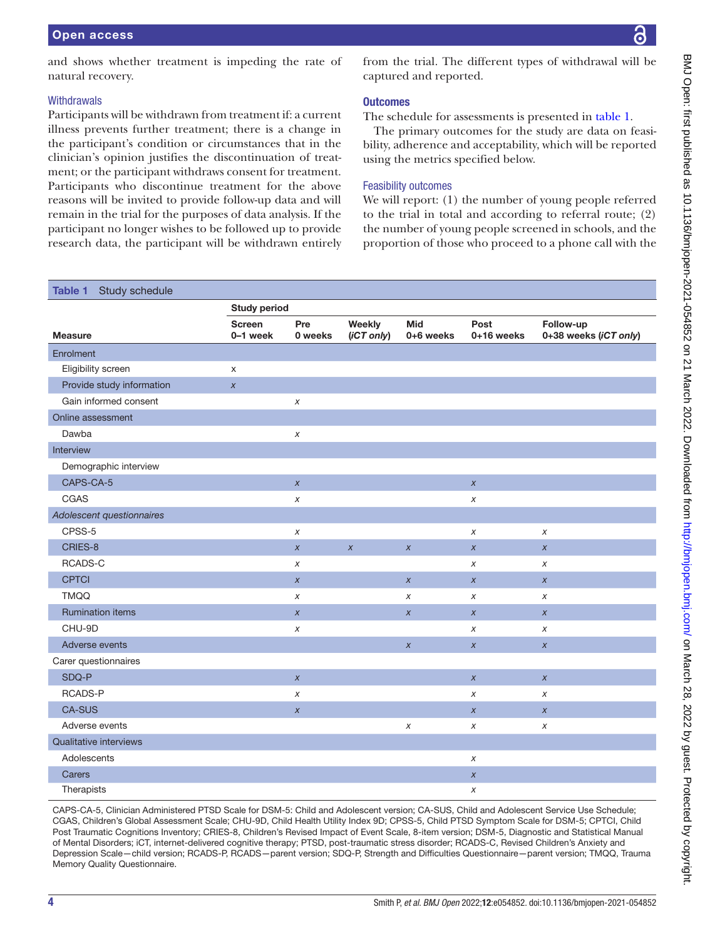and shows whether treatment is impeding the rate of natural recovery.

### **Withdrawals**

Participants will be withdrawn from treatment if: a current illness prevents further treatment; there is a change in the participant's condition or circumstances that in the clinician's opinion justifies the discontinuation of treatment; or the participant withdraws consent for treatment. Participants who discontinue treatment for the above reasons will be invited to provide follow-up data and will remain in the trial for the purposes of data analysis. If the participant no longer wishes to be followed up to provide research data, the participant will be withdrawn entirely from the trial. The different types of withdrawal will be captured and reported.

# **Outcomes**

The schedule for assessments is presented in [table](#page-3-0) 1.

The primary outcomes for the study are data on feasibility, adherence and acceptability, which will be reported using the metrics specified below.

# Feasibility outcomes

We will report: (1) the number of young people referred to the trial in total and according to referral route; (2) the number of young people screened in schools, and the proportion of those who proceed to a phone call with the

<span id="page-3-0"></span>

| Table 1<br>Study schedule |                           |                |                      |                         |                    |                       |
|---------------------------|---------------------------|----------------|----------------------|-------------------------|--------------------|-----------------------|
|                           | <b>Study period</b>       |                |                      |                         |                    |                       |
| <b>Measure</b>            | <b>Screen</b><br>0-1 week | Pre<br>0 weeks | Weekly<br>(iCT only) | <b>Mid</b><br>0+6 weeks | Post<br>0+16 weeks | Follow-up             |
|                           |                           |                |                      |                         |                    | 0+38 weeks (iCT only) |
| Enrolment                 |                           |                |                      |                         |                    |                       |
| Eligibility screen        | X                         |                |                      |                         |                    |                       |
| Provide study information | $\chi$                    |                |                      |                         |                    |                       |
| Gain informed consent     |                           | X              |                      |                         |                    |                       |
| Online assessment         |                           |                |                      |                         |                    |                       |
| Dawba                     |                           | $\chi$         |                      |                         |                    |                       |
| Interview                 |                           |                |                      |                         |                    |                       |
| Demographic interview     |                           |                |                      |                         |                    |                       |
| CAPS-CA-5                 |                           | $\pmb{X}$      |                      |                         | $\pmb{X}$          |                       |
| CGAS                      |                           | X              |                      |                         | X                  |                       |
| Adolescent questionnaires |                           |                |                      |                         |                    |                       |
| CPSS-5                    |                           | X              |                      |                         | X                  | $\chi$                |
| CRIES-8                   |                           | $\pmb{X}$      | $\boldsymbol{X}$     | $\boldsymbol{X}$        | $\pmb{\chi}$       | $\boldsymbol{X}$      |
| RCADS-C                   |                           | X              |                      |                         | X                  | X                     |
| <b>CPTCI</b>              |                           | $\pmb{\chi}$   |                      | $\boldsymbol{X}$        | $\overline{X}$     | $\boldsymbol{X}$      |
| <b>TMQQ</b>               |                           | $\chi$         |                      | $\chi$                  | X                  | X                     |
| <b>Rumination items</b>   |                           | $\pmb{\chi}$   |                      | $\chi$                  | $\pmb{\chi}$       | $\chi$                |
| CHU-9D                    |                           | X              |                      |                         | X                  | X                     |
| Adverse events            |                           |                |                      | $\pmb{\chi}$            | $\boldsymbol{x}$   | $\chi$                |
| Carer questionnaires      |                           |                |                      |                         |                    |                       |
| SDQ-P                     |                           | $\chi$         |                      |                         | $\overline{X}$     | $\boldsymbol{X}$      |
| RCADS-P                   |                           | X              |                      |                         | X                  | X                     |
| CA-SUS                    |                           | $\chi$         |                      |                         | $\pmb{\chi}$       | $\chi$                |
| Adverse events            |                           |                |                      | X                       | X                  | $\chi$                |
| Qualitative interviews    |                           |                |                      |                         |                    |                       |
| Adolescents               |                           |                |                      |                         | X                  |                       |
| Carers                    |                           |                |                      |                         | $\boldsymbol{X}$   |                       |
| Therapists                |                           |                |                      |                         | X                  |                       |

CAPS-CA-5, Clinician Administered PTSD Scale for DSM-5: Child and Adolescent version; CA-SUS, Child and Adolescent Service Use Schedule; CGAS, Children's Global Assessment Scale; CHU-9D, Child Health Utility Index 9D; CPSS-5, Child PTSD Symptom Scale for DSM-5; CPTCI, Child Post Traumatic Cognitions Inventory; CRIES-8, Children's Revised Impact of Event Scale, 8-item version; DSM-5, Diagnostic and Statistical Manual of Mental Disorders; iCT, internet-delivered cognitive therapy; PTSD, post-traumatic stress disorder; RCADS-C, Revised Children's Anxiety and Depression Scale—child version; RCADS-P, RCADS—parent version; SDQ-P, Strength and Difficulties Questionnaire—parent version; TMQQ, Trauma Memory Quality Questionnaire.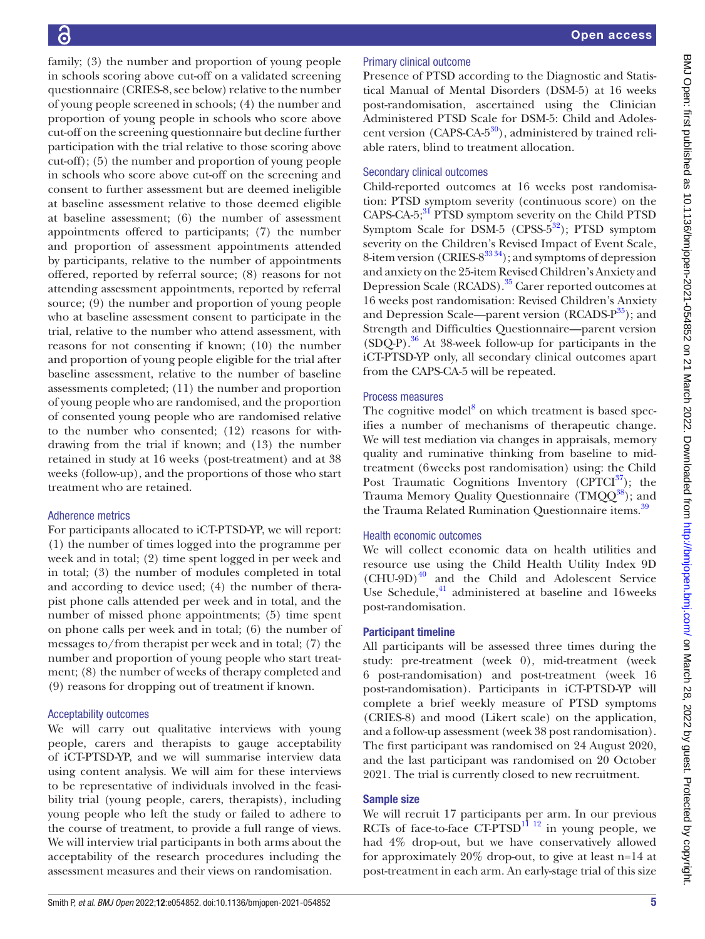family; (3) the number and proportion of young people in schools scoring above cut-off on a validated screening questionnaire (CRIES-8, see below) relative to the number of young people screened in schools; (4) the number and proportion of young people in schools who score above cut-off on the screening questionnaire but decline further participation with the trial relative to those scoring above cut-off); (5) the number and proportion of young people in schools who score above cut-off on the screening and consent to further assessment but are deemed ineligible at baseline assessment relative to those deemed eligible at baseline assessment; (6) the number of assessment appointments offered to participants; (7) the number and proportion of assessment appointments attended by participants, relative to the number of appointments offered, reported by referral source; (8) reasons for not attending assessment appointments, reported by referral source; (9) the number and proportion of young people who at baseline assessment consent to participate in the trial, relative to the number who attend assessment, with reasons for not consenting if known; (10) the number and proportion of young people eligible for the trial after baseline assessment, relative to the number of baseline assessments completed; (11) the number and proportion of young people who are randomised, and the proportion of consented young people who are randomised relative to the number who consented; (12) reasons for withdrawing from the trial if known; and (13) the number retained in study at 16 weeks (post-treatment) and at 38 weeks (follow-up), and the proportions of those who start treatment who are retained.

# Adherence metrics

For participants allocated to iCT-PTSD-YP, we will report: (1) the number of times logged into the programme per week and in total; (2) time spent logged in per week and in total; (3) the number of modules completed in total and according to device used; (4) the number of therapist phone calls attended per week and in total, and the number of missed phone appointments; (5) time spent on phone calls per week and in total; (6) the number of messages to/from therapist per week and in total; (7) the number and proportion of young people who start treatment; (8) the number of weeks of therapy completed and (9) reasons for dropping out of treatment if known.

# Acceptability outcomes

We will carry out qualitative interviews with young people, carers and therapists to gauge acceptability of iCT-PTSD-YP, and we will summarise interview data using content analysis. We will aim for these interviews to be representative of individuals involved in the feasibility trial (young people, carers, therapists), including young people who left the study or failed to adhere to the course of treatment, to provide a full range of views. We will interview trial participants in both arms about the acceptability of the research procedures including the assessment measures and their views on randomisation.

# Primary clinical outcome

Presence of PTSD according to the Diagnostic and Statistical Manual of Mental Disorders (DSM-5) at 16 weeks post-randomisation, ascertained using the Clinician Administered PTSD Scale for DSM-5: Child and Adolescent version (CAPS-CA- $5^{30}$ ), administered by trained reliable raters, blind to treatment allocation.

# Secondary clinical outcomes

Child-reported outcomes at 16 weeks post randomisation: PTSD symptom severity (continuous score) on the CAPS-CA-5;<sup>[31](#page-9-11)</sup> PTSD symptom severity on the Child PTSD Symptom Scale for DSM-5 (CPSS- $5^{32}$ ); PTSD symptom severity on the Children's Revised Impact of Event Scale, 8-item version (CRIES- $8^{3334}$ ); and symptoms of depression and anxiety on the 25-item Revised Children's Anxiety and Depression Scale (RCADS).<sup>[35](#page-9-14)</sup> Carer reported outcomes at 16 weeks post randomisation: Revised Children's Anxiety and Depression Scale—parent version (RCADS-P<sup>[35](#page-9-14)</sup>); and Strength and Difficulties Questionnaire—parent version  $(SDQ-P)$ .<sup>36</sup> At 38-week follow-up for participants in the iCT-PTSD-YP only, all secondary clinical outcomes apart from the CAPS-CA-5 will be repeated.

# Process measures

The cognitive model<sup>[8](#page-8-3)</sup> on which treatment is based specifies a number of mechanisms of therapeutic change. We will test mediation via changes in appraisals, memory quality and ruminative thinking from baseline to midtreatment (6weeks post randomisation) using: the Child Post Traumatic Cognitions Inventory  $(CPTCI<sup>37</sup>)$ ; the Trauma Memory Quality Questionnaire (TMQQ<sup>38</sup>); and the Trauma Related Rumination Questionnaire items.<sup>[39](#page-9-18)</sup>

# Health economic outcomes

We will collect economic data on health utilities and resource use using the Child Health Utility Index 9D  $(CHU-9D)$ <sup>40</sup> and the Child and Adolescent Service Use Schedule, $^{41}$  administered at baseline and 16 weeks post-randomisation.

# Participant timeline

All participants will be assessed three times during the study: pre-treatment (week 0), mid-treatment (week 6 post-randomisation) and post-treatment (week 16 post-randomisation). Participants in iCT-PTSD-YP will complete a brief weekly measure of PTSD symptoms (CRIES-8) and mood (Likert scale) on the application, and a follow-up assessment (week 38 post randomisation). The first participant was randomised on 24 August 2020, and the last participant was randomised on 20 October 2021. The trial is currently closed to new recruitment.

# Sample size

We will recruit 17 participants per arm. In our previous RCTs of face-to-face  $CT-PTSD$ <sup>[11 12](#page-8-5)</sup> in young people, we had 4% drop-out, but we have conservatively allowed for approximately 20% drop-out, to give at least n=14 at post-treatment in each arm. An early-stage trial of this size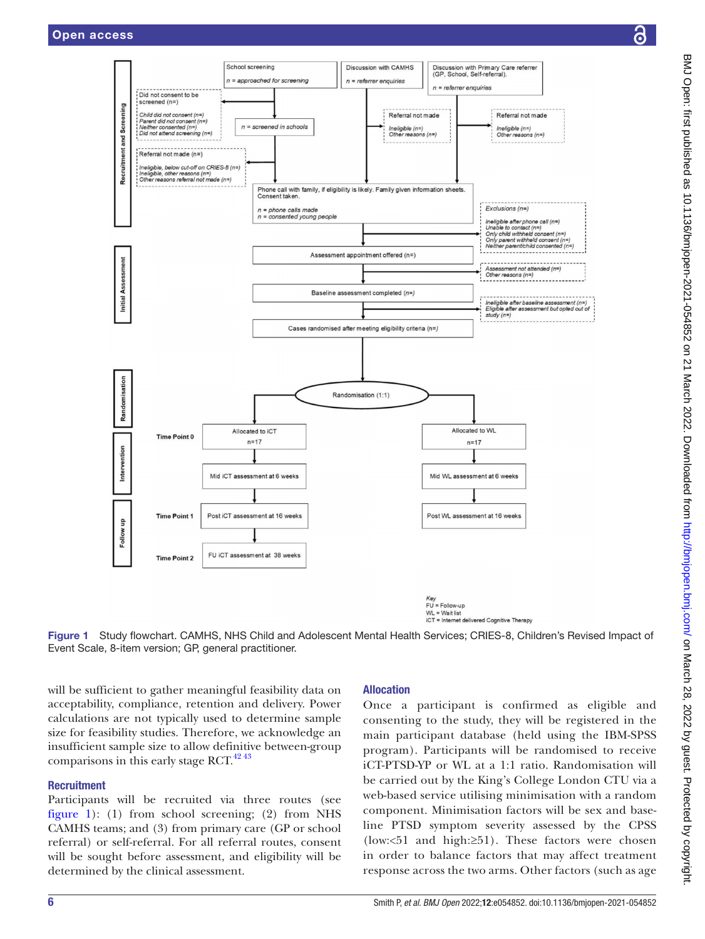

Key<br>FU = Follow-up WL = Wait list<br>iCT = Internet delivered Cognitive Therapy

<span id="page-5-0"></span>Figure 1 Study flowchart. CAMHS, NHS Child and Adolescent Mental Health Services; CRIES-8, Children's Revised Impact of Event Scale, 8-item version; GP, general practitioner.

will be sufficient to gather meaningful feasibility data on acceptability, compliance, retention and delivery. Power calculations are not typically used to determine sample size for feasibility studies. Therefore, we acknowledge an insufficient sample size to allow definitive between-group comparisons in this early stage RCT.<sup>[42 43](#page-9-21)</sup>

#### **Recruitment**

Participants will be recruited via three routes (see [figure](#page-5-0) 1): (1) from school screening; (2) from NHS CAMHS teams; and (3) from primary care (GP or school referral) or self-referral. For all referral routes, consent will be sought before assessment, and eligibility will be determined by the clinical assessment.

# Allocation

Once a participant is confirmed as eligible and consenting to the study, they will be registered in the main participant database (held using the IBM-SPSS program). Participants will be randomised to receive iCT-PTSD-YP or WL at a 1:1 ratio. Randomisation will be carried out by the King's College London CTU via a web-based service utilising minimisation with a random component. Minimisation factors will be sex and baseline PTSD symptom severity assessed by the CPSS (low:<51 and high:≥51). These factors were chosen in order to balance factors that may affect treatment response across the two arms. Other factors (such as age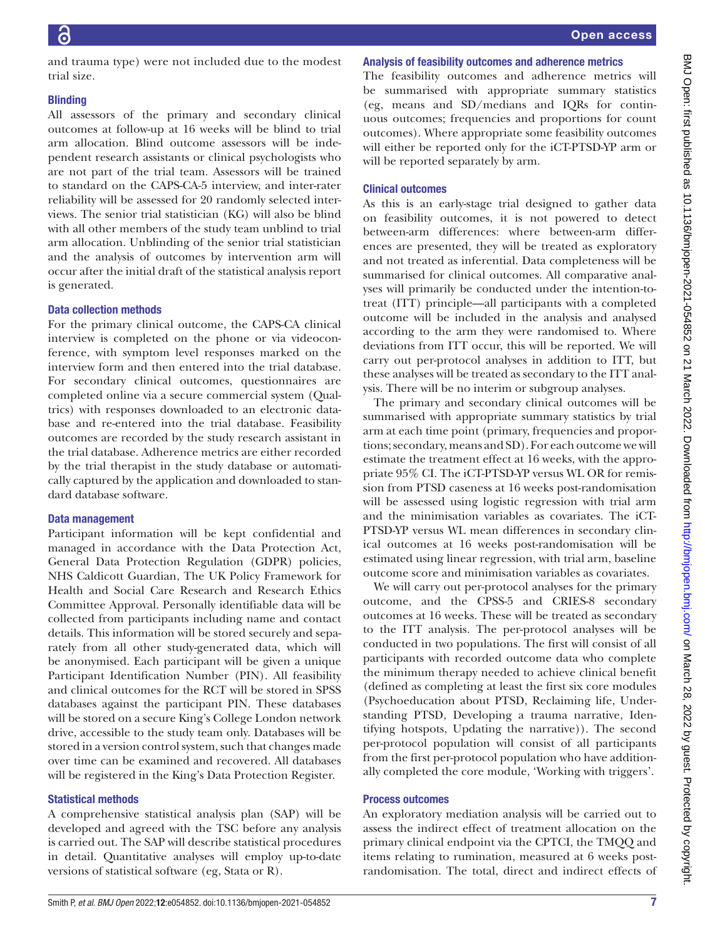and trauma type) were not included due to the modest trial size.

#### **Blinding**

All assessors of the primary and secondary clinical outcomes at follow-up at 16 weeks will be blind to trial arm allocation. Blind outcome assessors will be independent research assistants or clinical psychologists who are not part of the trial team. Assessors will be trained to standard on the CAPS-CA-5 interview, and inter-rater reliability will be assessed for 20 randomly selected interviews. The senior trial statistician (KG) will also be blind with all other members of the study team unblind to trial arm allocation. Unblinding of the senior trial statistician and the analysis of outcomes by intervention arm will occur after the initial draft of the statistical analysis report is generated.

#### Data collection methods

For the primary clinical outcome, the CAPS-CA clinical interview is completed on the phone or via videoconference, with symptom level responses marked on the interview form and then entered into the trial database. For secondary clinical outcomes, questionnaires are completed online via a secure commercial system (Qualtrics) with responses downloaded to an electronic database and re-entered into the trial database. Feasibility outcomes are recorded by the study research assistant in the trial database. Adherence metrics are either recorded by the trial therapist in the study database or automatically captured by the application and downloaded to standard database software.

# Data management

Participant information will be kept confidential and managed in accordance with the Data Protection Act, General Data Protection Regulation (GDPR) policies, NHS Caldicott Guardian, The UK Policy Framework for Health and Social Care Research and Research Ethics Committee Approval. Personally identifiable data will be collected from participants including name and contact details. This information will be stored securely and separately from all other study-generated data, which will be anonymised. Each participant will be given a unique Participant Identification Number (PIN). All feasibility and clinical outcomes for the RCT will be stored in SPSS databases against the participant PIN. These databases will be stored on a secure King's College London network drive, accessible to the study team only. Databases will be stored in a version control system, such that changes made over time can be examined and recovered. All databases will be registered in the King's Data Protection Register.

# Statistical methods

A comprehensive statistical analysis plan (SAP) will be developed and agreed with the TSC before any analysis is carried out. The SAP will describe statistical procedures in detail. Quantitative analyses will employ up-to-date versions of statistical software (eg, Stata or R).

# Analysis of feasibility outcomes and adherence metrics

The feasibility outcomes and adherence metrics will be summarised with appropriate summary statistics (eg, means and SD/medians and IQRs for continuous outcomes; frequencies and proportions for count outcomes). Where appropriate some feasibility outcomes will either be reported only for the iCT-PTSD-YP arm or will be reported separately by arm.

## Clinical outcomes

As this is an early-stage trial designed to gather data on feasibility outcomes, it is not powered to detect between-arm differences: where between-arm differences are presented, they will be treated as exploratory and not treated as inferential. Data completeness will be summarised for clinical outcomes. All comparative analyses will primarily be conducted under the intention-totreat (ITT) principle—all participants with a completed outcome will be included in the analysis and analysed according to the arm they were randomised to. Where deviations from ITT occur, this will be reported. We will carry out per-protocol analyses in addition to ITT, but these analyses will be treated as secondary to the ITT analysis. There will be no interim or subgroup analyses.

The primary and secondary clinical outcomes will be summarised with appropriate summary statistics by trial arm at each time point (primary, frequencies and proportions; secondary, means and SD). For each outcome we will estimate the treatment effect at 16 weeks, with the appropriate 95% CI. The iCT-PTSD-YP versus WL OR for remission from PTSD caseness at 16 weeks post-randomisation will be assessed using logistic regression with trial arm and the minimisation variables as covariates. The iCT-PTSD-YP versus WL mean differences in secondary clinical outcomes at 16 weeks post-randomisation will be estimated using linear regression, with trial arm, baseline outcome score and minimisation variables as covariates.

We will carry out per-protocol analyses for the primary outcome, and the CPSS-5 and CRIES-8 secondary outcomes at 16 weeks. These will be treated as secondary to the ITT analysis. The per-protocol analyses will be conducted in two populations. The first will consist of all participants with recorded outcome data who complete the minimum therapy needed to achieve clinical benefit (defined as completing at least the first six core modules (Psychoeducation about PTSD, Reclaiming life, Understanding PTSD, Developing a trauma narrative, Identifying hotspots, Updating the narrative)). The second per-protocol population will consist of all participants from the first per-protocol population who have additionally completed the core module, 'Working with triggers'.

# Process outcomes

An exploratory mediation analysis will be carried out to assess the indirect effect of treatment allocation on the primary clinical endpoint via the CPTCI, the TMQQ and items relating to rumination, measured at 6 weeks postrandomisation. The total, direct and indirect effects of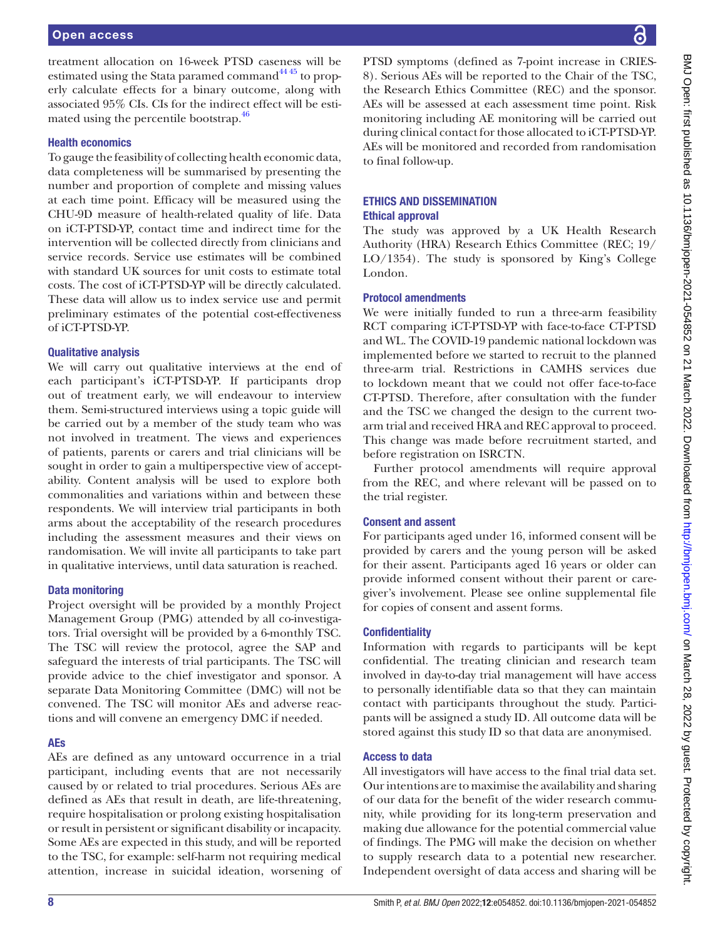treatment allocation on 16-week PTSD caseness will be estimated using the Stata paramed command $^{44\,45}$  to properly calculate effects for a binary outcome, along with associated 95% CIs. CIs for the indirect effect will be estimated using the percentile bootstrap.<sup>46</sup>

#### Health economics

To gauge the feasibility of collecting health economic data, data completeness will be summarised by presenting the number and proportion of complete and missing values at each time point. Efficacy will be measured using the CHU-9D measure of health-related quality of life. Data on iCT-PTSD-YP, contact time and indirect time for the intervention will be collected directly from clinicians and service records. Service use estimates will be combined with standard UK sources for unit costs to estimate total costs. The cost of iCT-PTSD-YP will be directly calculated. These data will allow us to index service use and permit preliminary estimates of the potential cost-effectiveness of iCT-PTSD-YP.

#### Qualitative analysis

We will carry out qualitative interviews at the end of each participant's iCT-PTSD-YP. If participants drop out of treatment early, we will endeavour to interview them. Semi-structured interviews using a topic guide will be carried out by a member of the study team who was not involved in treatment. The views and experiences of patients, parents or carers and trial clinicians will be sought in order to gain a multiperspective view of acceptability. Content analysis will be used to explore both commonalities and variations within and between these respondents. We will interview trial participants in both arms about the acceptability of the research procedures including the assessment measures and their views on randomisation. We will invite all participants to take part in qualitative interviews, until data saturation is reached.

#### Data monitoring

Project oversight will be provided by a monthly Project Management Group (PMG) attended by all co-investigators. Trial oversight will be provided by a 6-monthly TSC. The TSC will review the protocol, agree the SAP and safeguard the interests of trial participants. The TSC will provide advice to the chief investigator and sponsor. A separate Data Monitoring Committee (DMC) will not be convened. The TSC will monitor AEs and adverse reactions and will convene an emergency DMC if needed.

#### AEs

AEs are defined as any untoward occurrence in a trial participant, including events that are not necessarily caused by or related to trial procedures. Serious AEs are defined as AEs that result in death, are life-threatening, require hospitalisation or prolong existing hospitalisation or result in persistent or significant disability or incapacity. Some AEs are expected in this study, and will be reported to the TSC, for example: self-harm not requiring medical attention, increase in suicidal ideation, worsening of

PTSD symptoms (defined as 7-point increase in CRIES-8). Serious AEs will be reported to the Chair of the TSC, the Research Ethics Committee (REC) and the sponsor. AEs will be assessed at each assessment time point. Risk monitoring including AE monitoring will be carried out during clinical contact for those allocated to iCT-PTSD-YP. AEs will be monitored and recorded from randomisation to final follow-up.

## ETHICS AND DISSEMINATION Ethical approval

The study was approved by a UK Health Research Authority (HRA) Research Ethics Committee (REC; 19/ LO/1354). The study is sponsored by King's College London.

### Protocol amendments

We were initially funded to run a three-arm feasibility RCT comparing iCT-PTSD-YP with face-to-face CT-PTSD and WL. The COVID-19 pandemic national lockdown was implemented before we started to recruit to the planned three-arm trial. Restrictions in CAMHS services due to lockdown meant that we could not offer face-to-face CT-PTSD. Therefore, after consultation with the funder and the TSC we changed the design to the current twoarm trial and received HRA and REC approval to proceed. This change was made before recruitment started, and before registration on ISRCTN.

Further protocol amendments will require approval from the REC, and where relevant will be passed on to the trial register.

#### Consent and assent

For participants aged under 16, informed consent will be provided by carers and the young person will be asked for their assent. Participants aged 16 years or older can provide informed consent without their parent or caregiver's involvement. Please see [online supplemental file](https://dx.doi.org/10.1136/bmjopen-2021-054852)  for copies of consent and assent forms.

## **Confidentiality**

Information with regards to participants will be kept confidential. The treating clinician and research team involved in day-to-day trial management will have access to personally identifiable data so that they can maintain contact with participants throughout the study. Participants will be assigned a study ID. All outcome data will be stored against this study ID so that data are anonymised.

#### Access to data

All investigators will have access to the final trial data set. Our intentions are to maximise the availability and sharing of our data for the benefit of the wider research community, while providing for its long-term preservation and making due allowance for the potential commercial value of findings. The PMG will make the decision on whether to supply research data to a potential new researcher. Independent oversight of data access and sharing will be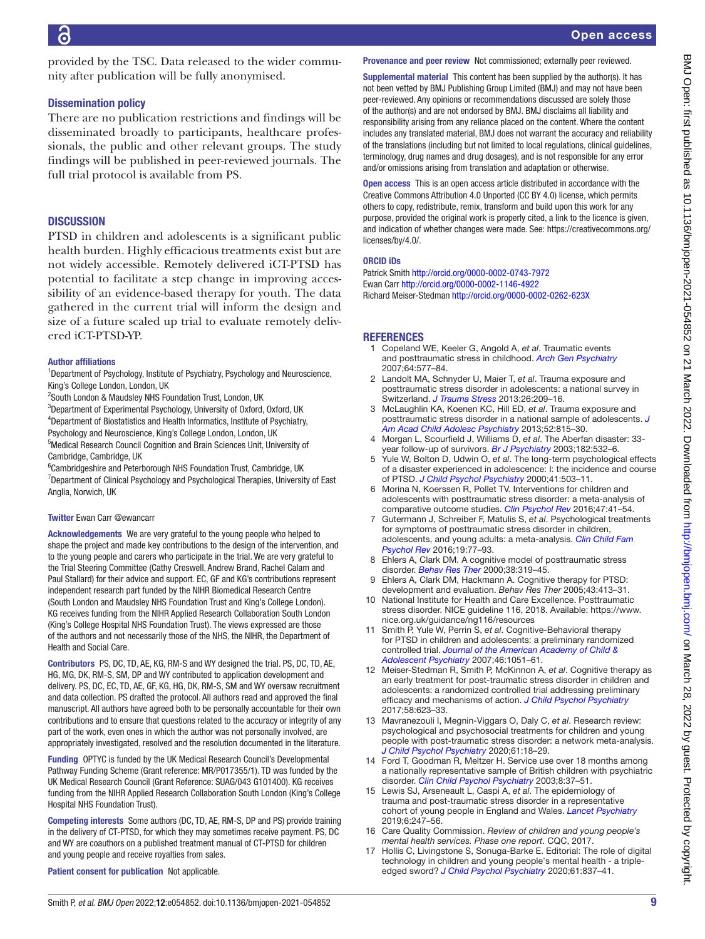provided by the TSC. Data released to the wider community after publication will be fully anonymised.

#### Dissemination policy

There are no publication restrictions and findings will be disseminated broadly to participants, healthcare professionals, the public and other relevant groups. The study findings will be published in peer-reviewed journals. The full trial protocol is available from PS.

# **DISCUSSION**

PTSD in children and adolescents is a significant public health burden. Highly efficacious treatments exist but are not widely accessible. Remotely delivered iCT-PTSD has potential to facilitate a step change in improving accessibility of an evidence-based therapy for youth. The data gathered in the current trial will inform the design and size of a future scaled up trial to evaluate remotely delivered iCT-PTSD-YP.

#### Author affiliations

<sup>1</sup>Department of Psychology, Institute of Psychiatry, Psychology and Neuroscience, King's College London, London, UK

<sup>2</sup>South London & Maudsley NHS Foundation Trust, London, UK

<sup>3</sup>Department of Experimental Psychology, University of Oxford, Oxford, UK 4 Department of Biostatistics and Health Informatics, Institute of Psychiatry,

Psychology and Neuroscience, King's College London, London, UK

5 Medical Research Council Cognition and Brain Sciences Unit, University of Cambridge, Cambridge, UK

<sup>6</sup>Cambridgeshire and Peterborough NHS Foundation Trust, Cambridge, UK <sup>7</sup>Department of Clinical Psychology and Psychological Therapies, University of East Anglia, Norwich, UK

#### Twitter Ewan Carr [@ewancarr](https://twitter.com/ewancarr)

Acknowledgements We are very grateful to the young people who helped to shape the project and made key contributions to the design of the intervention, and to the young people and carers who participate in the trial. We are very grateful to the Trial Steering Committee (Cathy Creswell, Andrew Brand, Rachel Calam and Paul Stallard) for their advice and support. EC, GF and KG's contributions represent independent research part funded by the NIHR Biomedical Research Centre (South London and Maudsley NHS Foundation Trust and King's College London). KG receives funding from the NIHR Applied Research Collaboration South London (King's College Hospital NHS Foundation Trust). The views expressed are those of the authors and not necessarily those of the NHS, the NIHR, the Department of Health and Social Care.

Contributors PS, DC, TD, AE, KG, RM-S and WY designed the trial. PS, DC, TD, AE, HG, MG, DK, RM-S, SM, DP and WY contributed to application development and delivery. PS, DC, EC, TD, AE, GF, KG, HG, DK, RM-S, SM and WY oversaw recruitment and data collection. PS drafted the protocol. All authors read and approved the final manuscript. All authors have agreed both to be personally accountable for their own contributions and to ensure that questions related to the accuracy or integrity of any part of the work, even ones in which the author was not personally involved, are appropriately investigated, resolved and the resolution documented in the literature.

Funding OPTYC is funded by the UK Medical Research Council's Developmental Pathway Funding Scheme (Grant reference: MR/P017355/1). TD was funded by the UK Medical Research Council (Grant Reference: SUAG/043 G101400). KG receives funding from the NIHR Applied Research Collaboration South London (King's College Hospital NHS Foundation Trust).

Competing interests Some authors (DC, TD, AE, RM-S, DP and PS) provide training in the delivery of CT-PTSD, for which they may sometimes receive payment. PS, DC and WY are coauthors on a published treatment manual of CT-PTSD for children and young people and receive royalties from sales.

Patient consent for publication Not applicable.

#### Provenance and peer review Not commissioned; externally peer reviewed.

Supplemental material This content has been supplied by the author(s). It has not been vetted by BMJ Publishing Group Limited (BMJ) and may not have been peer-reviewed. Any opinions or recommendations discussed are solely those of the author(s) and are not endorsed by BMJ. BMJ disclaims all liability and responsibility arising from any reliance placed on the content. Where the content includes any translated material, BMJ does not warrant the accuracy and reliability of the translations (including but not limited to local regulations, clinical guidelines, terminology, drug names and drug dosages), and is not responsible for any error and/or omissions arising from translation and adaptation or otherwise.

Open access This is an open access article distributed in accordance with the Creative Commons Attribution 4.0 Unported (CC BY 4.0) license, which permits others to copy, redistribute, remix, transform and build upon this work for any purpose, provided the original work is properly cited, a link to the licence is given, and indication of whether changes were made. See: [https://creativecommons.org/](https://creativecommons.org/licenses/by/4.0/) [licenses/by/4.0/](https://creativecommons.org/licenses/by/4.0/).

#### ORCID iDs

Patrick Smith<http://orcid.org/0000-0002-0743-7972> Ewan Carr<http://orcid.org/0000-0002-1146-4922> Richard Meiser-Stedman<http://orcid.org/0000-0002-0262-623X>

#### **REFERENCES**

- <span id="page-8-0"></span>1 Copeland WE, Keeler G, Angold A, *et al*. Traumatic events and posttraumatic stress in childhood. *[Arch Gen Psychiatry](http://dx.doi.org/10.1001/archpsyc.64.5.577)* 2007;64:577–84.
- 2 Landolt MA, Schnyder U, Maier T, *et al*. Trauma exposure and posttraumatic stress disorder in adolescents: a national survey in Switzerland. *[J Trauma Stress](http://dx.doi.org/10.1002/jts.21794)* 2013;26:209–16.
- 3 McLaughlin KA, Koenen KC, Hill ED, *et al*. Trauma exposure and posttraumatic stress disorder in a national sample of adolescents. *[J](http://dx.doi.org/10.1016/j.jaac.2013.05.011)  [Am Acad Child Adolesc Psychiatry](http://dx.doi.org/10.1016/j.jaac.2013.05.011)* 2013;52:815–30.
- <span id="page-8-1"></span>4 Morgan L, Scourfield J, Williams D, *et al*. The Aberfan disaster: 33 year follow-up of survivors. *[Br J Psychiatry](http://dx.doi.org/10.1192/bjp.182.6.532)* 2003;182:532–6.
- 5 Yule W, Bolton D, Udwin O, *et al*. The long-term psychological effects of a disaster experienced in adolescence: I: the incidence and course of PTSD. *[J Child Psychol Psychiatry](http://dx.doi.org/10.1111/1469-7610.00635)* 2000;41:503–11.
- <span id="page-8-2"></span>6 Morina N, Koerssen R, Pollet TV. Interventions for children and adolescents with posttraumatic stress disorder: a meta-analysis of comparative outcome studies. *[Clin Psychol Rev](http://dx.doi.org/10.1016/j.cpr.2016.05.006)* 2016;47:41–54.
- 7 Gutermann J, Schreiber F, Matulis S, *et al*. Psychological treatments for symptoms of posttraumatic stress disorder in children, adolescents, and young adults: a meta-analysis. *[Clin Child Fam](http://dx.doi.org/10.1007/s10567-016-0202-5)  [Psychol Rev](http://dx.doi.org/10.1007/s10567-016-0202-5)* 2016;19:77–93.
- <span id="page-8-3"></span>8 Ehlers A, Clark DM. A cognitive model of posttraumatic stress disorder. *[Behav Res Ther](http://dx.doi.org/10.1016/S0005-7967(99)00123-0)* 2000;38:319–45.
- 9 Ehlers A, Clark DM, Hackmann A. Cognitive therapy for PTSD: development and evaluation. *Behav Res Ther* 2005;43:413–31.
- <span id="page-8-4"></span>10 National Institute for Health and Care Excellence. Posttraumatic stress disorder. NICE guideline 116, 2018. Available: [https://www.](https://www.nice.org.uk/guidance/ng116/resources) [nice.org.uk/guidance/ng116/resources](https://www.nice.org.uk/guidance/ng116/resources)
- <span id="page-8-5"></span>11 Smith P, Yule W, Perrin S, *et al*. Cognitive-Behavioral therapy for PTSD in children and adolescents: a preliminary randomized controlled trial. *[Journal of the American Academy of Child &](http://dx.doi.org/10.1097/CHI.0b013e318067e288)  [Adolescent Psychiatry](http://dx.doi.org/10.1097/CHI.0b013e318067e288)* 2007;46:1051–61.
- 12 Meiser-Stedman R, Smith P, McKinnon A, *et al*. Cognitive therapy as an early treatment for post-traumatic stress disorder in children and adolescents: a randomized controlled trial addressing preliminary efficacy and mechanisms of action. *[J Child Psychol Psychiatry](http://dx.doi.org/10.1111/jcpp.12673)* 2017;58:623–33.
- <span id="page-8-6"></span>13 Mavranezouli I, Megnin-Viggars O, Daly C, *et al*. Research review: psychological and psychosocial treatments for children and young people with post-traumatic stress disorder: a network meta-analysis. *[J Child Psychol Psychiatry](http://dx.doi.org/10.1111/jcpp.13094)* 2020;61:18–29.
- <span id="page-8-7"></span>14 Ford T, Goodman R, Meltzer H. Service use over 18 months among a nationally representative sample of British children with psychiatric disorder. *[Clin Child Psychol Psychiatry](http://dx.doi.org/10.1177/1359104503008001006)* 2003;8:37–51.
- <span id="page-8-8"></span>15 Lewis SJ, Arseneault L, Caspi A, *et al*. The epidemiology of trauma and post-traumatic stress disorder in a representative cohort of young people in England and Wales. *[Lancet Psychiatry](http://dx.doi.org/10.1016/S2215-0366(19)30031-8)* 2019;6:247–56.
- <span id="page-8-9"></span>16 Care Quality Commission. *Review of children and young people's mental health services. Phase one report*. CQC, 2017.
- <span id="page-8-10"></span>17 Hollis C, Livingstone S, Sonuga-Barke E. Editorial: The role of digital technology in children and young people's mental health - a tripleedged sword? *[J Child Psychol Psychiatry](http://dx.doi.org/10.1111/jcpp.13302)* 2020;61:837–41.